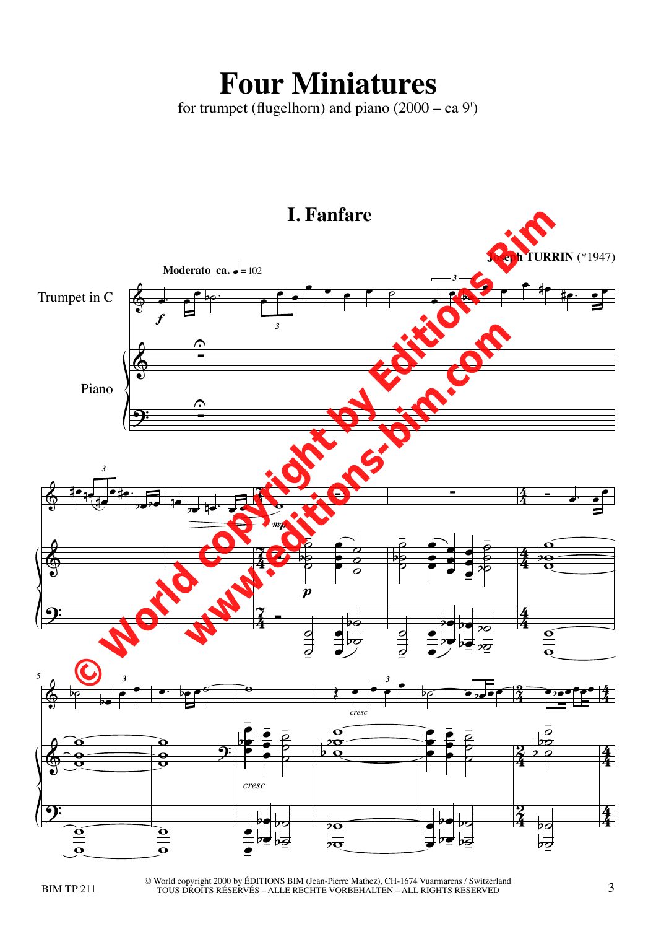## **Four Miniatures**

for trumpet (flugelhorn) and piano  $(2000 - ca 9')$ 



BIM TP 211 3 © World copyright 2000 by ÉDITIONS BIM (Jean-Pierre Mathez), CH-1674 Vuarmarens / Switzerland TOUS DROITS RÉSERVÉS – ALLE RECHTE VORBEHALTEN – ALL RIGHTS RESERVED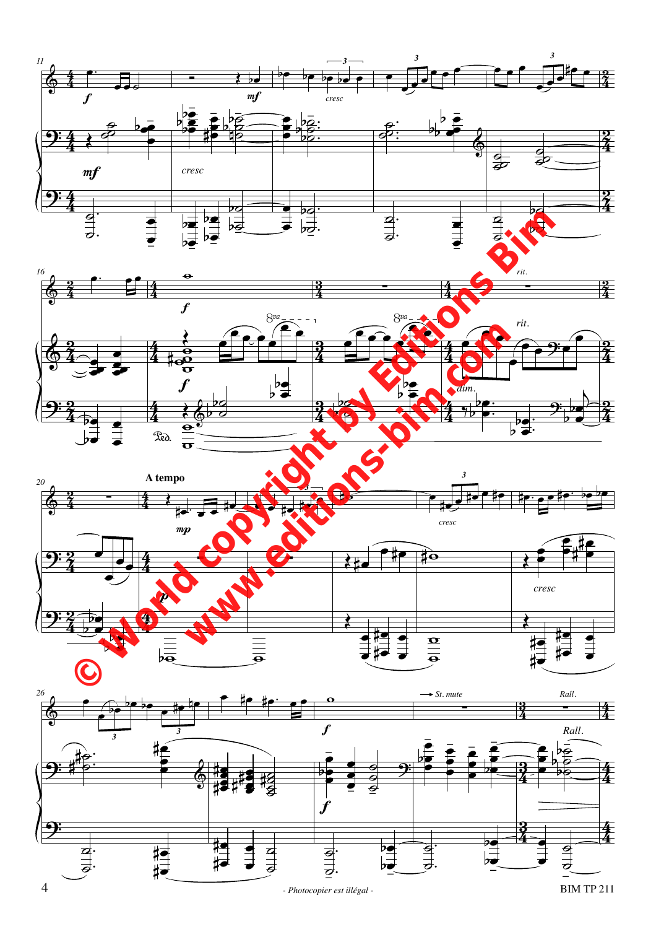



<u>9:</u>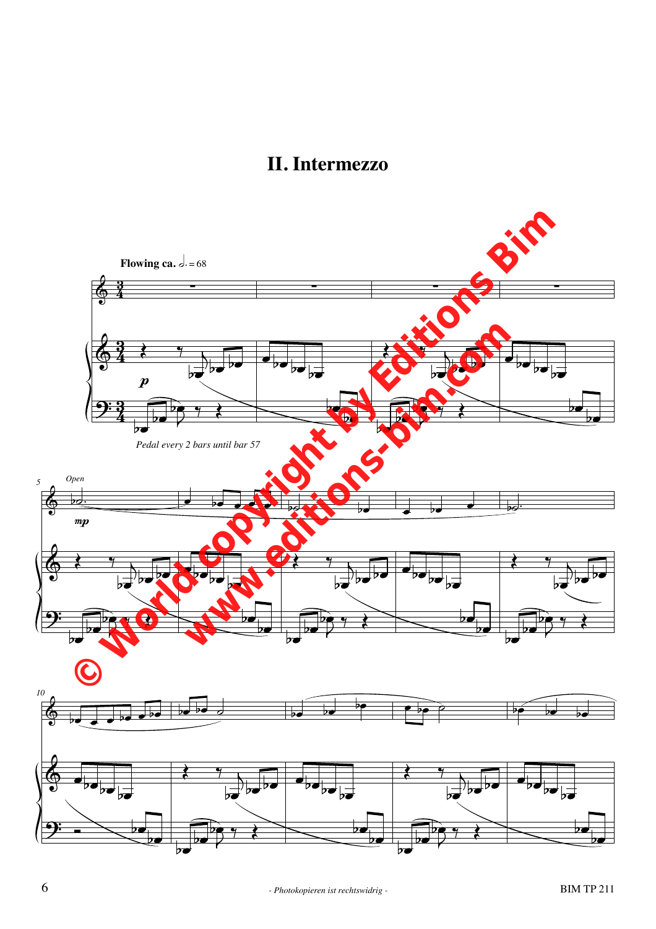## **II. Intermezzo**

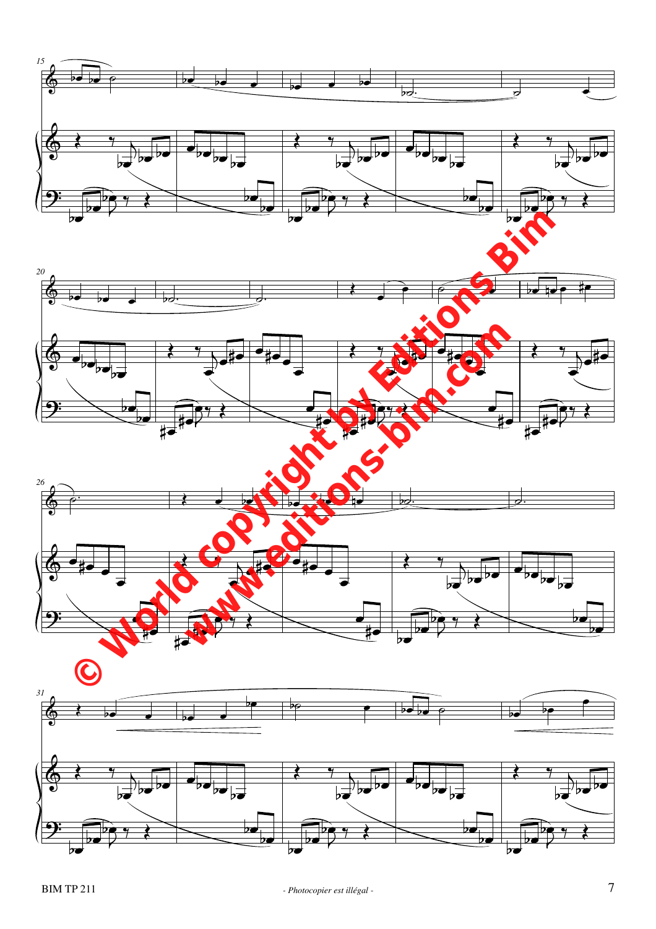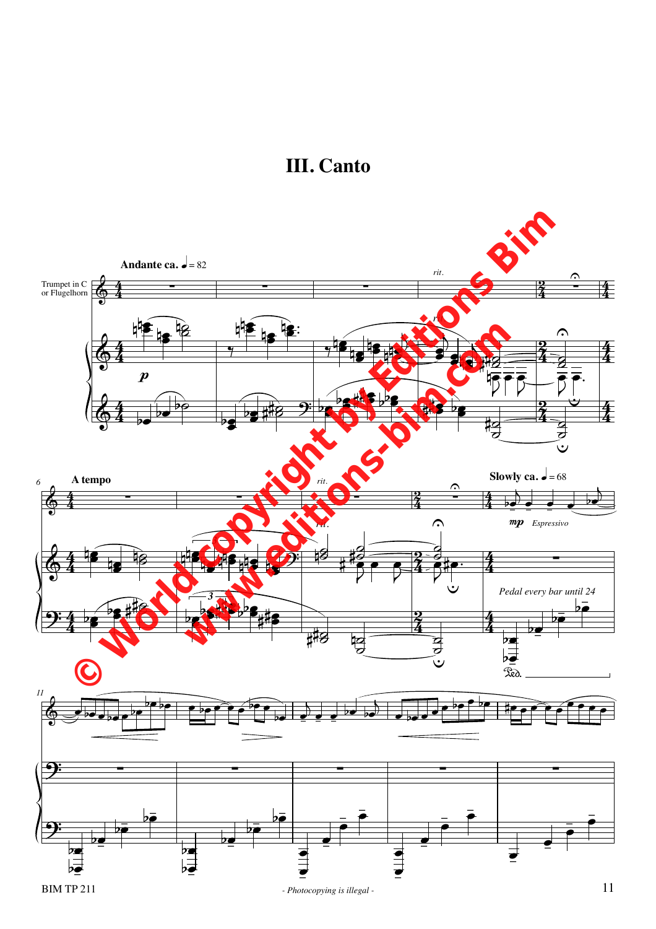## **III. Canto**

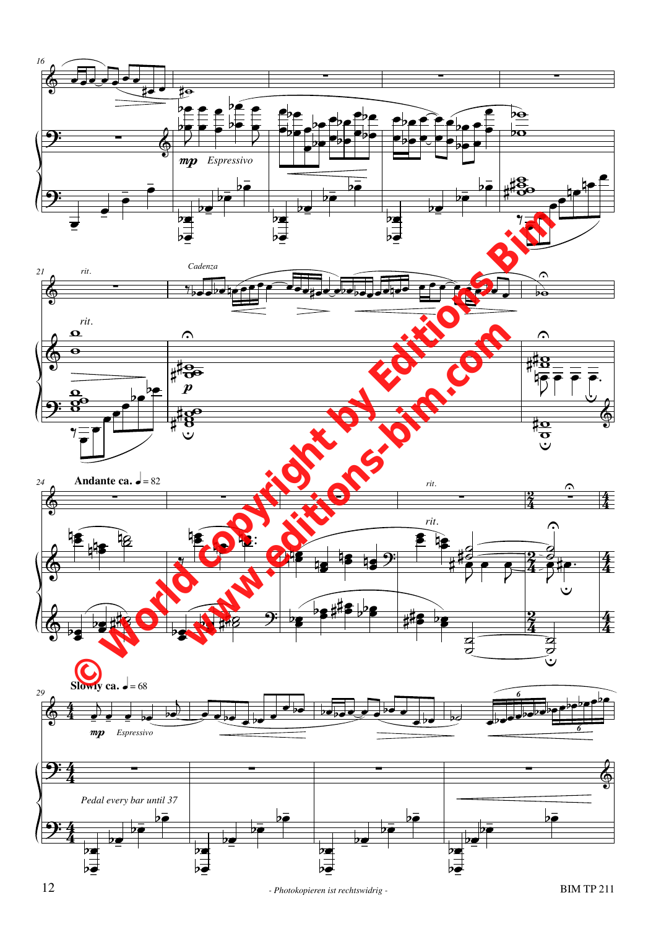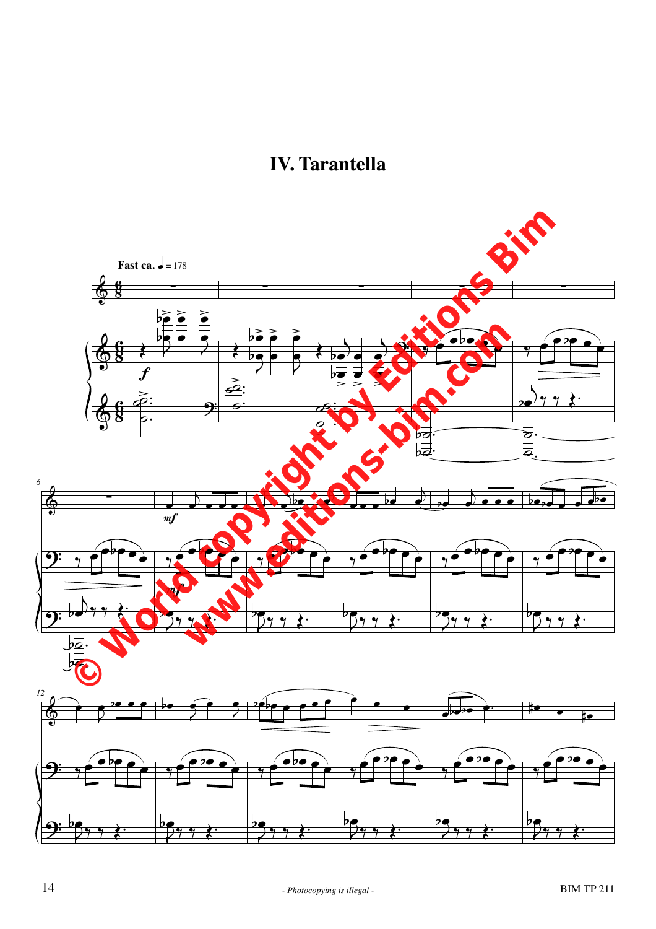## **IV. Tarantella**